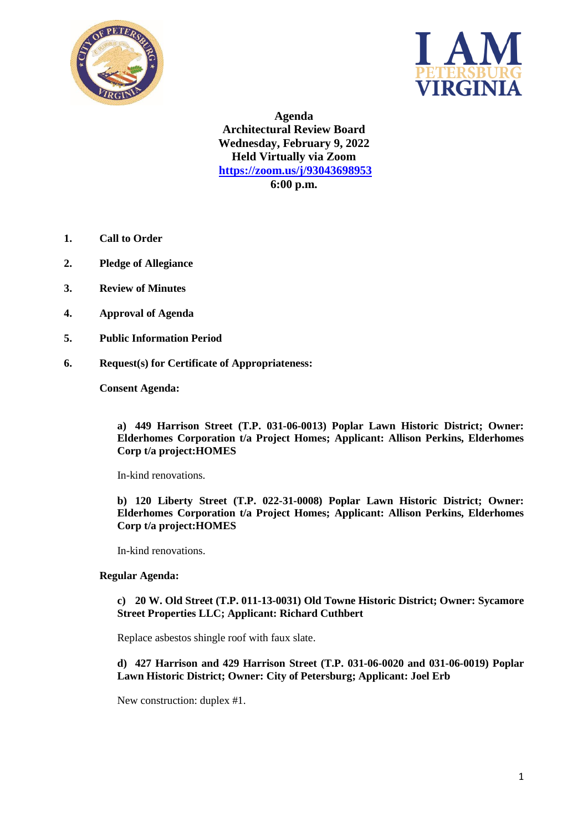



**Agenda Architectural Review Board Wednesday, February 9, 2022 Held Virtually via Zoom <https://zoom.us/j/93043698953> 6:00 p.m.**

- **1. Call to Order**
- **2. Pledge of Allegiance**
- **3. Review of Minutes**
- **4. Approval of Agenda**
- **5. Public Information Period**
- **6. Request(s) for Certificate of Appropriateness:**

**Consent Agenda:**

**a) 449 Harrison Street (T.P. 031-06-0013) Poplar Lawn Historic District; Owner: Elderhomes Corporation t/a Project Homes; Applicant: Allison Perkins, Elderhomes Corp t/a project:HOMES**

In-kind renovations.

**b) 120 Liberty Street (T.P. 022-31-0008) Poplar Lawn Historic District; Owner: Elderhomes Corporation t/a Project Homes; Applicant: Allison Perkins, Elderhomes Corp t/a project:HOMES**

In-kind renovations.

### **Regular Agenda:**

## **c) 20 W. Old Street (T.P. 011-13-0031) Old Towne Historic District; Owner: Sycamore Street Properties LLC; Applicant: Richard Cuthbert**

Replace asbestos shingle roof with faux slate.

## **d) 427 Harrison and 429 Harrison Street (T.P. 031-06-0020 and 031-06-0019) Poplar Lawn Historic District; Owner: City of Petersburg; Applicant: Joel Erb**

New construction: duplex #1.